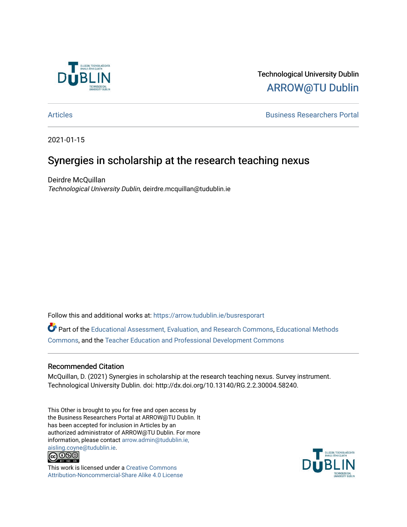

# Technological University Dublin [ARROW@TU Dublin](https://arrow.tudublin.ie/)

[Articles](https://arrow.tudublin.ie/busresporart) [Business Researchers Portal](https://arrow.tudublin.ie/busrespor) 

2021-01-15

# Synergies in scholarship at the research teaching nexus

Deirdre McQuillan Technological University Dublin, deirdre.mcquillan@tudublin.ie

Follow this and additional works at: [https://arrow.tudublin.ie/busresporart](https://arrow.tudublin.ie/busresporart?utm_source=arrow.tudublin.ie%2Fbusresporart%2F2&utm_medium=PDF&utm_campaign=PDFCoverPages) 

Part of the [Educational Assessment, Evaluation, and Research Commons](http://network.bepress.com/hgg/discipline/796?utm_source=arrow.tudublin.ie%2Fbusresporart%2F2&utm_medium=PDF&utm_campaign=PDFCoverPages), [Educational Methods](http://network.bepress.com/hgg/discipline/1227?utm_source=arrow.tudublin.ie%2Fbusresporart%2F2&utm_medium=PDF&utm_campaign=PDFCoverPages)  [Commons](http://network.bepress.com/hgg/discipline/1227?utm_source=arrow.tudublin.ie%2Fbusresporart%2F2&utm_medium=PDF&utm_campaign=PDFCoverPages), and the [Teacher Education and Professional Development Commons](http://network.bepress.com/hgg/discipline/803?utm_source=arrow.tudublin.ie%2Fbusresporart%2F2&utm_medium=PDF&utm_campaign=PDFCoverPages)

#### Recommended Citation

McQuillan, D. (2021) Synergies in scholarship at the research teaching nexus. Survey instrument. Technological University Dublin. doi: http://dx.doi.org/10.13140/RG.2.2.30004.58240.

This Other is brought to you for free and open access by the Business Researchers Portal at ARROW@TU Dublin. It has been accepted for inclusion in Articles by an authorized administrator of ARROW@TU Dublin. For more information, please contact [arrow.admin@tudublin.ie,](mailto:arrow.admin@tudublin.ie,%20aisling.coyne@tudublin.ie)  [aisling.coyne@tudublin.ie.](mailto:arrow.admin@tudublin.ie,%20aisling.coyne@tudublin.ie)<br>© 090



This work is licensed under a [Creative Commons](http://creativecommons.org/licenses/by-nc-sa/4.0/) [Attribution-Noncommercial-Share Alike 4.0 License](http://creativecommons.org/licenses/by-nc-sa/4.0/)

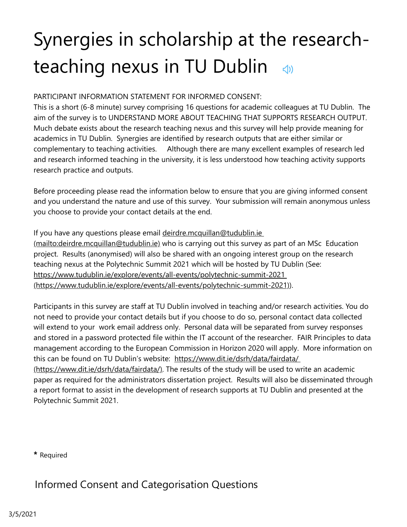# Synergies in scholarship at the researchteaching nexus in TU Dublin  $\triangleleft$

#### PARTICIPANT INFORMATION STATEMENT FOR INFORMED CONSENT:

This is a short (6-8 minute) survey comprising 16 questions for academic colleagues at TU Dublin. The aim of the survey is to UNDERSTAND MORE ABOUT TEACHING THAT SUPPORTS RESEARCH OUTPUT. Much debate exists about the research teaching nexus and this survey will help provide meaning for academics in TU Dublin. Synergies are identified by research outputs that are either similar or complementary to teaching activities. Although there are many excellent examples of research led and research informed teaching in the university, it is less understood how teaching activity supports research practice and outputs.

Before proceeding please read the information below to ensure that you are giving informed consent and you understand the nature and use of this survey. Your submission will remain anonymous unless you choose to provide your contact details at the end.

If you have any questions please email deirdre.mcquillan@tudublin.ie [\(mailto:deirdre.mcquillan@tudublin.ie\) who is carrying out this survey a](mailto:deirdre.mcquillan@tudublin.ie)s part of an MSc Education project. Results (anonymised) will also be shared with an ongoing interest group on the research teaching nexus at the Polytechnic Summit 2021 which will be hosted by TU Dublin (See: https://www.tudublin.ie/explore/events/all-events/polytechnic-summit-2021 [\(https://www.tudublin.ie/explore/events/all-events/polytechnic-summit-2021\)](https://www.tudublin.ie/explore/events/all-events/polytechnic-summit-2021)).

Participants in this survey are staff at TU Dublin involved in teaching and/or research activities. You do not need to provide your contact details but if you choose to do so, personal contact data collected will extend to your work email address only. Personal data will be separated from survey responses and stored in a password protected file within the IT account of the researcher. FAIR Principles to data management according to the European Commission in Horizon 2020 will apply. More information on this can be found on TU Dublin's website: https://www.dit.ie/dsrh/data/fairdata/

[\(https://www.dit.ie/dsrh/data/fairdata/\). The results of the study will be used to wr](https://www.dit.ie/dsrh/data/fairdata/)ite an academic paper as required for the administrators dissertation project. Results will also be disseminated through a report format to assist in the development of research supports at TU Dublin and presented at the Polytechnic Summit 2021.

**\*** Required

Informed Consent and Categorisation Questions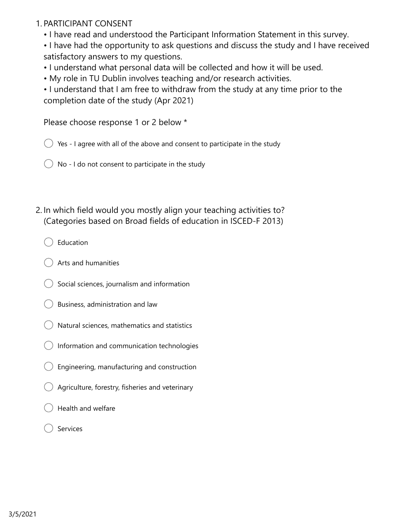#### 1. PARTICIPANT CONSENT

• I have read and understood the Participant Information Statement in this survey.

• I have had the opportunity to ask questions and discuss the study and I have received satisfactory answers to my questions.

- I understand what personal data will be collected and how it will be used.
- My role in TU Dublin involves teaching and/or research activities.

• I understand that I am free to withdraw from the study at any time prior to the completion date of the study (Apr 2021)

Please choose response 1 or 2 below \*

 $\bigcirc$  Yes - I agree with all of the above and consent to participate in the study

- No I do not consent to participate in the study
- 2. In which field would you mostly align your teaching activities to? (Categories based on Broad fields of education in ISCED-F 2013)
	- Education
	- Arts and humanities
	- Social sciences, journalism and information
	- Business, administration and law
	- Natural sciences, mathematics and statistics
	- Information and communication technologies
	- Engineering, manufacturing and construction
	- Agriculture, forestry, fisheries and veterinary
	- Health and welfare
	- Services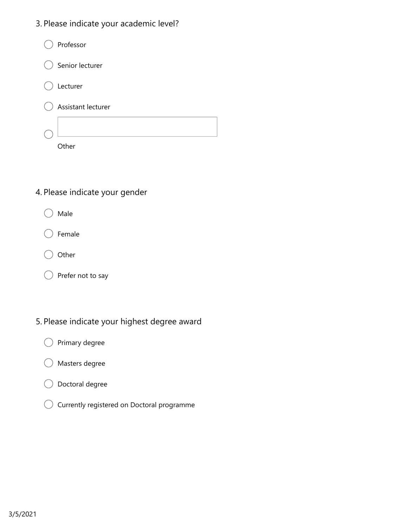3. Please indicate your academic level?

| Professor            |
|----------------------|
| Senior lecturer<br>( |
| Lecturer             |
| Assistant lecturer   |
|                      |
| ther                 |

### 4. Please indicate your gender

- Male
- Female
- Other
- $\bigcirc$  Prefer not to say €

### 5. Please indicate your highest degree award

- Primary degree
- Masters degree
- Doctoral degree €
- $\bigcirc$  Currently registered on Doctoral programme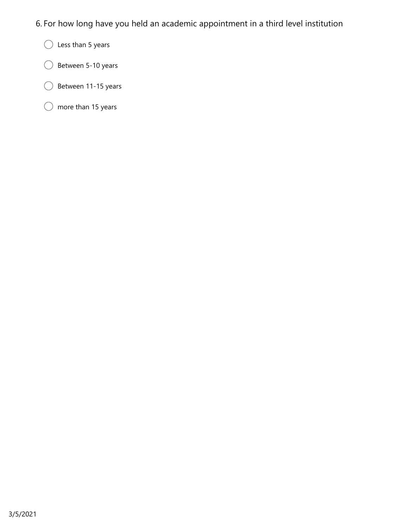- 6. For how long have you held an academic appointment in a third level institution
	- $\bigcirc$  Less than 5 years
	- $\bigcirc$  Between 5-10 years (
	- $\big)$  Between 11-15 years  $\left($
	- $\bigcirc$  more than 15 years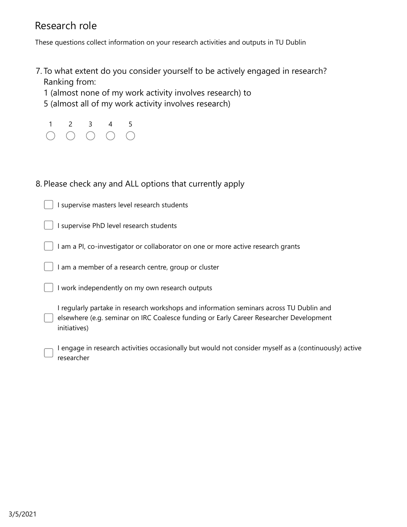# Research role

These questions collect information on your research activities and outputs in TU Dublin

- 7. To what extent do you consider yourself to be actively engaged in research? Ranking from:
	- 1 (almost none of my work activity involves research) to
	- 5 (almost all of my work activity involves research)

| $\overline{1}$                              | -3-                                         | -5                |
|---------------------------------------------|---------------------------------------------|-------------------|
| $\left(\begin{array}{c} \end{array}\right)$ | $\bigcirc$ $\bigcirc$ $\bigcirc$ $\bigcirc$ | $\left(\ \right)$ |

#### 8. Please check any and ALL options that currently apply

I supervise masters level research students

I supervise PhD level research students

I am a PI, co-investigator or collaborator on one or more active research grants

I am a member of a research centre, group or cluster

I work independently on my own research outputs

I regularly partake in research workshops and information seminars across TU Dublin and elsewhere (e.g. seminar on IRC Coalesce funding or Early Career Researcher Development initiatives)

I engage in research activities occasionally but would not consider myself as a (continuously) active researcher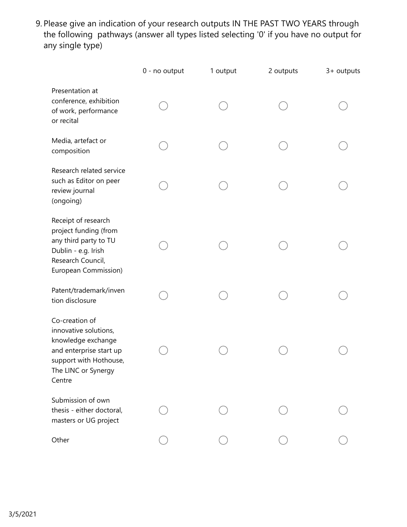Please give an indication of your research outputs IN THE PAST TWO YEARS through 9. the following pathways (answer all types listed selecting '0' if you have no output for any single type)

|                                                                                                                                                     | 0 - no output | 1 output | 2 outputs | 3+ outputs |
|-----------------------------------------------------------------------------------------------------------------------------------------------------|---------------|----------|-----------|------------|
| Presentation at<br>conference, exhibition<br>of work, performance<br>or recital                                                                     |               |          |           |            |
| Media, artefact or<br>composition                                                                                                                   |               |          |           |            |
| Research related service<br>such as Editor on peer<br>review journal<br>(ongoing)                                                                   |               |          |           |            |
| Receipt of research<br>project funding (from<br>any third party to TU<br>Dublin - e.g. Irish<br>Research Council,<br>European Commission)           |               |          |           |            |
| Patent/trademark/inven<br>tion disclosure                                                                                                           |               |          |           |            |
| Co-creation of<br>innovative solutions,<br>knowledge exchange<br>and enterprise start up<br>support with Hothouse,<br>The LINC or Synergy<br>Centre |               |          |           |            |
| Submission of own<br>thesis - either doctoral,<br>masters or UG project                                                                             |               |          |           |            |
| Other                                                                                                                                               |               |          |           |            |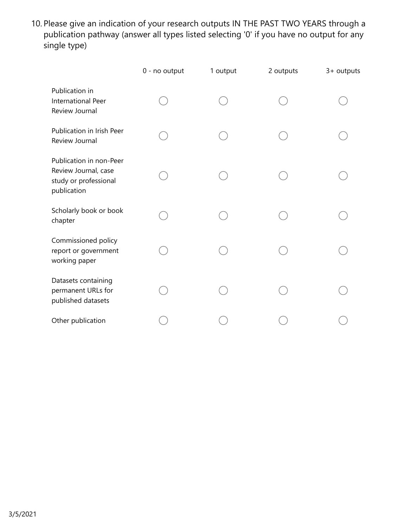10. Please give an indication of your research outputs IN THE PAST TWO YEARS through a publication pathway (answer all types listed selecting '0' if you have no output for any single type)

|                                                                                         | 0 - no output | 1 output | 2 outputs | 3+ outputs |
|-----------------------------------------------------------------------------------------|---------------|----------|-----------|------------|
| Publication in<br>International Peer<br>Review Journal                                  |               |          |           |            |
| Publication in Irish Peer<br>Review Journal                                             |               |          |           |            |
| Publication in non-Peer<br>Review Journal, case<br>study or professional<br>publication |               |          |           |            |
| Scholarly book or book<br>chapter                                                       |               |          |           |            |
| Commissioned policy<br>report or government<br>working paper                            |               |          |           |            |
| Datasets containing<br>permanent URLs for<br>published datasets                         |               |          |           |            |
| Other publication                                                                       |               |          |           |            |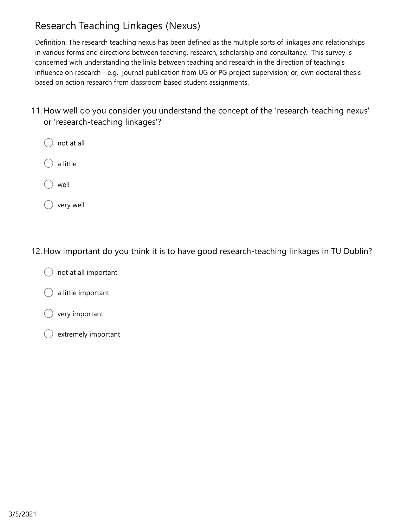# Research Teaching Linkages (Nexus)

Definition: The research teaching nexus has been defined as the multiple sorts of linkages and relationships in various forms and directions between teaching, research, scholarship and consultancy. This survey is concerned with understanding the links between teaching and research in the direction of teaching's influence on research - e.g. journal publication from UG or PG project supervision; or, own doctoral thesis based on action research from classroom based student assignments.

- 11. How well do you consider you understand the concept of the 'research-teaching nexus' or 'research-teaching linkages'?
	- not at all
	- a little
	- well
	- very well

#### 12. How important do you think it is to have good research-teaching linkages in TU Dublin?

- not at all important
- a little important
- very important
- extremely important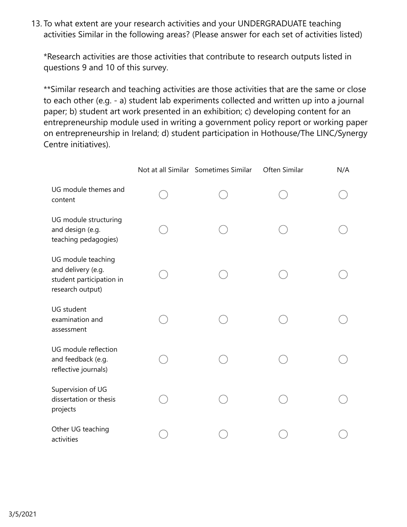13. To what extent are your research activities and your UNDERGRADUATE teaching activities Similar in the following areas? (Please answer for each set of activities listed)

\*Research activities are those activities that contribute to research outputs listed in questions 9 and 10 of this survey.

\*\*Similar research and teaching activities are those activities that are the same or close to each other (e.g. - a) student lab experiments collected and written up into a journal paper; b) student art work presented in an exhibition; c) developing content for an entrepreneurship module used in writing a government policy report or working paper on entrepreneurship in Ireland; d) student participation in Hothouse/The LINC/Synergy Centre initiatives).

|                                                                                          | Not at all Similar Sometimes Similar | Often Similar | N/A |
|------------------------------------------------------------------------------------------|--------------------------------------|---------------|-----|
| UG module themes and<br>content                                                          |                                      |               |     |
| UG module structuring<br>and design (e.g.<br>teaching pedagogies)                        |                                      |               |     |
| UG module teaching<br>and delivery (e.g.<br>student participation in<br>research output) |                                      |               |     |
| <b>UG</b> student<br>examination and<br>assessment                                       |                                      |               |     |
| UG module reflection<br>and feedback (e.g.<br>reflective journals)                       |                                      |               |     |
| Supervision of UG<br>dissertation or thesis<br>projects                                  |                                      |               |     |
| Other UG teaching<br>activities                                                          |                                      |               |     |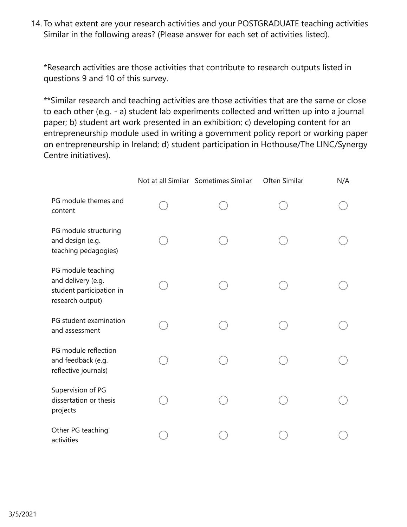14. To what extent are your research activities and your POSTGRADUATE teaching activities Similar in the following areas? (Please answer for each set of activities listed).

\*Research activities are those activities that contribute to research outputs listed in questions 9 and 10 of this survey.

\*\*Similar research and teaching activities are those activities that are the same or close to each other (e.g. - a) student lab experiments collected and written up into a journal paper; b) student art work presented in an exhibition; c) developing content for an entrepreneurship module used in writing a government policy report or working paper on entrepreneurship in Ireland; d) student participation in Hothouse/The LINC/Synergy Centre initiatives).

|                                                                                          | Not at all Similar Sometimes Similar | Often Similar | N/A |
|------------------------------------------------------------------------------------------|--------------------------------------|---------------|-----|
| PG module themes and<br>content                                                          |                                      |               |     |
| PG module structuring<br>and design (e.g.<br>teaching pedagogies)                        |                                      |               |     |
| PG module teaching<br>and delivery (e.g.<br>student participation in<br>research output) |                                      |               |     |
| PG student examination<br>and assessment                                                 |                                      |               |     |
| PG module reflection<br>and feedback (e.g.<br>reflective journals)                       |                                      |               |     |
| Supervision of PG<br>dissertation or thesis<br>projects                                  |                                      |               |     |
| Other PG teaching<br>activities                                                          |                                      |               |     |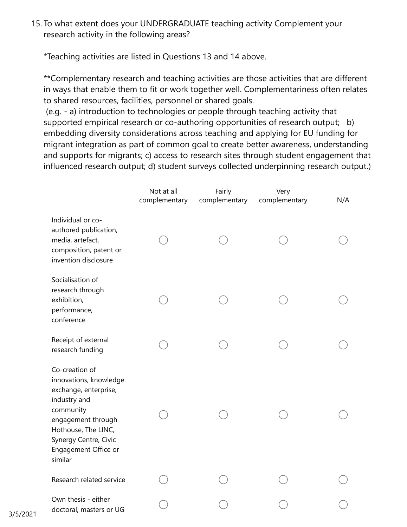15. To what extent does your UNDERGRADUATE teaching activity Complement your research activity in the following areas?

\*Teaching activities are listed in Questions 13 and 14 above.

\*\*Complementary research and teaching activities are those activities that are different in ways that enable them to fit or work together well. Complementariness often relates to shared resources, facilities, personnel or shared goals.

 (e.g. - a) introduction to technologies or people through teaching activity that supported empirical research or co-authoring opportunities of research output; b) embedding diversity considerations across teaching and applying for EU funding for migrant integration as part of common goal to create better awareness, understanding and supports for migrants; c) access to research sites through student engagement that influenced research output; d) student surveys collected underpinning research output.)

|                                                                                                                                                                                                         | Not at all<br>complementary | Fairly<br>complementary | Very<br>complementary | N/A |
|---------------------------------------------------------------------------------------------------------------------------------------------------------------------------------------------------------|-----------------------------|-------------------------|-----------------------|-----|
| Individual or co-<br>authored publication,<br>media, artefact,<br>composition, patent or<br>invention disclosure                                                                                        |                             |                         |                       |     |
| Socialisation of<br>research through<br>exhibition,<br>performance,<br>conference                                                                                                                       |                             |                         |                       |     |
| Receipt of external<br>research funding                                                                                                                                                                 |                             |                         |                       |     |
| Co-creation of<br>innovations, knowledge<br>exchange, enterprise,<br>industry and<br>community<br>engagement through<br>Hothouse, The LINC,<br>Synergy Centre, Civic<br>Engagement Office or<br>similar |                             |                         |                       |     |
| Research related service                                                                                                                                                                                |                             |                         |                       |     |
| Own thesis - either<br>doctoral, masters or UG                                                                                                                                                          |                             |                         |                       |     |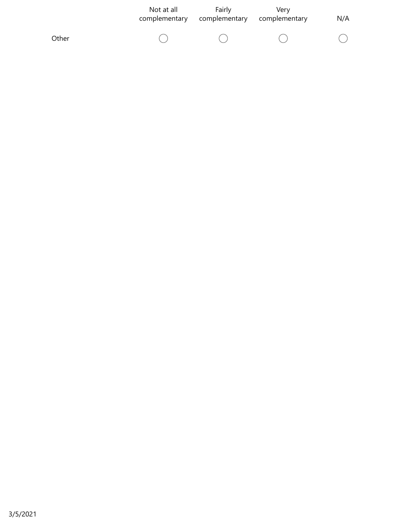|       | Not at all<br>complementary | Fairly<br>complementary | Verv<br>complementary | N/A |
|-------|-----------------------------|-------------------------|-----------------------|-----|
| Other |                             |                         |                       |     |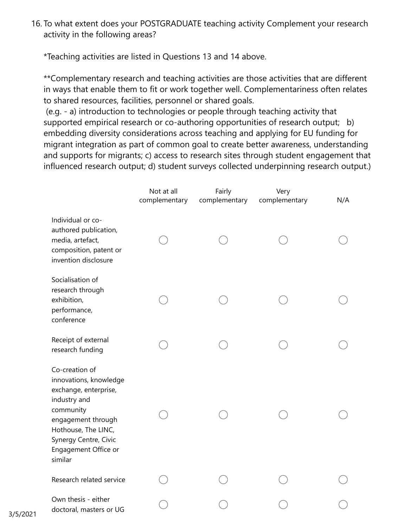16. To what extent does your POSTGRADUATE teaching activity Complement your research activity in the following areas?

\*Teaching activities are listed in Questions 13 and 14 above.

\*\*Complementary research and teaching activities are those activities that are different in ways that enable them to fit or work together well. Complementariness often relates to shared resources, facilities, personnel or shared goals.

 (e.g. - a) introduction to technologies or people through teaching activity that supported empirical research or co-authoring opportunities of research output; b) embedding diversity considerations across teaching and applying for EU funding for migrant integration as part of common goal to create better awareness, understanding and supports for migrants; c) access to research sites through student engagement that influenced research output; d) student surveys collected underpinning research output.)

|                                                                                                                                                                                                         | Not at all<br>complementary | Fairly<br>complementary | Very<br>complementary | N/A |
|---------------------------------------------------------------------------------------------------------------------------------------------------------------------------------------------------------|-----------------------------|-------------------------|-----------------------|-----|
| Individual or co-<br>authored publication,<br>media, artefact,<br>composition, patent or<br>invention disclosure                                                                                        |                             |                         |                       |     |
| Socialisation of<br>research through<br>exhibition,<br>performance,<br>conference                                                                                                                       |                             |                         |                       |     |
| Receipt of external<br>research funding                                                                                                                                                                 |                             |                         |                       |     |
| Co-creation of<br>innovations, knowledge<br>exchange, enterprise,<br>industry and<br>community<br>engagement through<br>Hothouse, The LINC,<br>Synergy Centre, Civic<br>Engagement Office or<br>similar |                             |                         |                       |     |
| Research related service                                                                                                                                                                                |                             |                         |                       |     |
| Own thesis - either<br>doctoral, masters or UG                                                                                                                                                          |                             |                         |                       |     |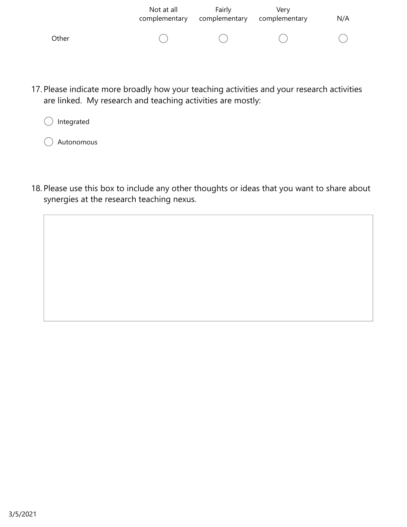|       | Not at all<br>complementary | Fairly<br>complementary | Verv<br>complementary | N/A |
|-------|-----------------------------|-------------------------|-----------------------|-----|
| Other |                             |                         |                       |     |

17. Please indicate more broadly how your teaching activities and your research activities are linked. My research and teaching activities are mostly:



Autonomous

18. Please use this box to include any other thoughts or ideas that you want to share about synergies at the research teaching nexus.